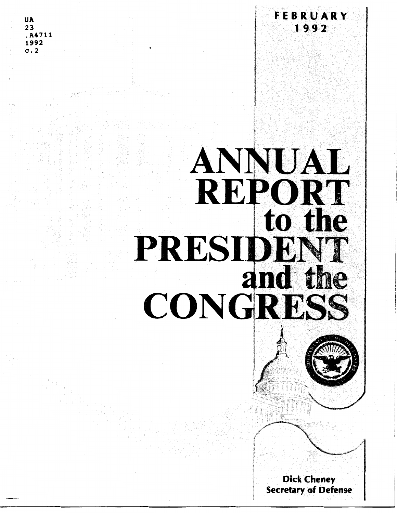**UA**  $23$ A4711 1992  $\mathbf{c}$ . 2

## ANNUAL **REPORT** to the PRESIDENT and the CONGRESS



FEBRUARY

1992

**Dick Cheney Secretary of Defense**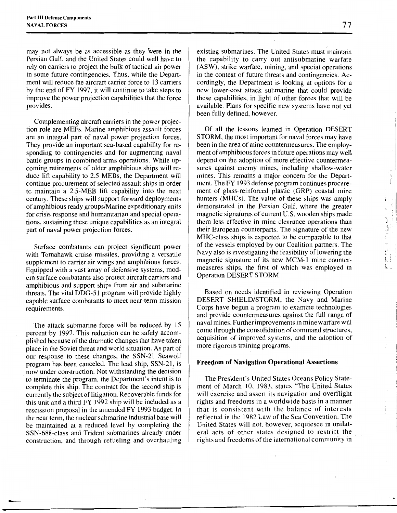may not always be as accessible as they were in the Persian Gulf, and the United States could well have to rely on carriers to project the bulk of tactical air power in some future contingencies. Thus, while the Department will reduce the aircraft carrier force to 13 carriers by the end of FY 1997, it will continue to take steps to improve the power projection capabilities that the force provides.

Complementing aircraft carriers in the power projection role are MEFs. Marine amphibious assault forces are an integral part of naval power projection forces. They provide an important sea-based capability for responding to contingencies and for augmenting naval battle groups in combined arms operations. While upcoming retirements of older amphibious ships will reduce lift capability to 2.5 MEBs, the Department will continue procurement of selected assault ships in order to maintain a 2.5-MEB lift capability into the next century. These ships will support forward deployments of amphibious ready groups/Marine expeditionary units for crisis response and humanitarian and special operations, sustaining these unique capabilities as an integral part of naval power projection forces.

Surface combatants can project significant power with Tomahawk cruise missiles, providing a versatile supplement to carrier air wings and amphibious forces. Equipped with a vast array of defensive systems, modern surface combatants also protect aircraft carriers and amphibious and support ships from air and submarine threats. The vital DDG-51 program will provide highly capable surface combatants to meet near-term mission requirements.

The attack submarine force will be reduced by 15 percent by 1997. This reduction can be safely accomplished because of the dramatic changes that have taken piace in the Soviet threat and world situation. As part of our response to these changes, the SSN-21 Seawolf program has been canceled. The lead ship, SSN-21, is now under construction. Not withstanding the decision to terminate the program, the Department's intent is to complete this ship. The contract for the second ship is currently the subject of litigation. Recoverable funds for this unit and a third FY 1992 ship will be included as a rescission proposal in the amended FY 1993 budget. In the near term, the nuclear submarine industrial base will be maintained at a reduced level by completing the SSN-688-class and Trident submarines already under construction, and through refueling and overhauling

-

existing submarines. The United States must maintain the capability to carry out antisubmarine warfare (ASW), strike warfare, mining, and special operations in the context of future threats and contingencies. Accordingly, the Department is looking at options for a new lower-cost attack submarine that could provide these capabilities, in light of other forces that will be available. Plans for specific new systems have not yet been fully defined, however.

Of all the lessons learned in Operation DESERT STORM, the most important for naval forces may have been in the area of mine countermeasures. The employment of amphibious forces in future operations may well depend on the adoption of more effective countermeasures against enemy mines, including shallow-water mines. This remains a major concern for the Department. The FY 1993 defense program continues procurement of glass-reinforced plastic (GRP) coastal mine hunters (MHCs). The value of these ships was amply demonstrated in the Persian Gulf, where the greater magnetic signatures of current U.S. wooden ships made them less effective in mine clearance operations than their European counterparts. The signature of the new MHC-class ships is expected to be comparable to that of the vessels employed by our Coalition partners. The Navy also is investigating the feasibility of lowering the magnetic signature of its new MCM-1 mine countermeasures ships, the first of which was employed in Operation DESERT STORM.

Based on needs identified in reviewing Operation DESERT SHIELD/STORM, the Navy and Marine Corps have begun a program to examine technologies and provide countermeasures against the full range of naval mines. Further improvements in mine warfare will come through the consolidation of command structures, acquisition of improved systems, and the adoption of more rigorous training programs.

## **Freedom of Navigation Operational Assertions**

The President's United States Oceans Policy Statement of March 10, 1983, states "The United States will exercise and assert its navigation and overflight rights and freedoms in a worldwide basis in a manner that is consistent with the balance of interests reflected in the 1982 Law of the Sea Convention. The United States will not, however, acquiesce in unilateral acts of other states designed to restrict the rights and freedoms of the international community in  $\frac{1}{3}$ 

 $\frac{1}{2}$ 

Ť

 $\frac{1}{2}$ 

i.<br>1. 1. j

k.,